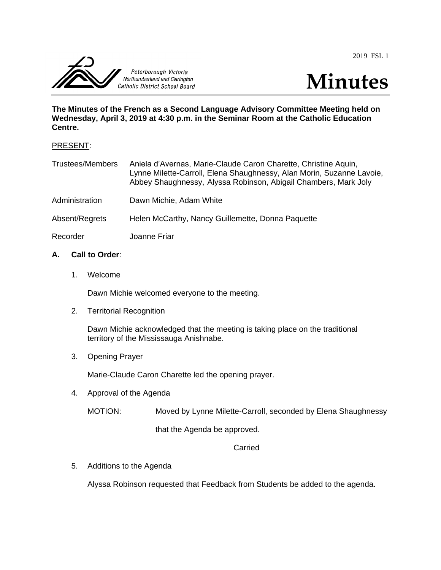2019 FSL 1





**The Minutes of the French as a Second Language Advisory Committee Meeting held on Wednesday, April 3, 2019 at 4:30 p.m. in the Seminar Room at the Catholic Education Centre.**

### PRESENT:

| <b>Trustees/Members</b> | Aniela d'Avernas, Marie-Claude Caron Charette, Christine Aquin,<br>Lynne Milette-Carroll, Elena Shaughnessy, Alan Morin, Suzanne Lavoie,<br>Abbey Shaughnessy, Alyssa Robinson, Abigail Chambers, Mark Joly |
|-------------------------|-------------------------------------------------------------------------------------------------------------------------------------------------------------------------------------------------------------|
| Administration          | Dawn Michie, Adam White                                                                                                                                                                                     |
| Absent/Regrets          | Helen McCarthy, Nancy Guillemette, Donna Paquette                                                                                                                                                           |
| Recorder                | Joanne Friar                                                                                                                                                                                                |

# **A. Call to Order**:

1. Welcome

Dawn Michie welcomed everyone to the meeting.

2. Territorial Recognition

Dawn Michie acknowledged that the meeting is taking place on the traditional territory of the Mississauga Anishnabe.

3. Opening Prayer

Marie-Claude Caron Charette led the opening prayer.

4. Approval of the Agenda

MOTION: Moved by Lynne Milette-Carroll, seconded by Elena Shaughnessy

that the Agenda be approved.

# Carried

5. Additions to the Agenda

Alyssa Robinson requested that Feedback from Students be added to the agenda.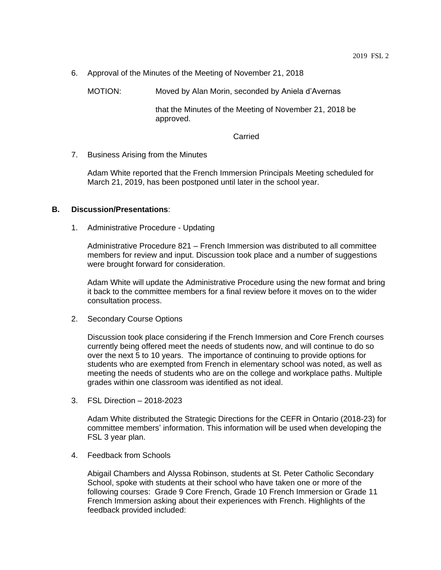6. Approval of the Minutes of the Meeting of November 21, 2018

MOTION: Moved by Alan Morin, seconded by Aniela d'Avernas

that the Minutes of the Meeting of November 21, 2018 be approved.

Carried

7. Business Arising from the Minutes

Adam White reported that the French Immersion Principals Meeting scheduled for March 21, 2019, has been postponed until later in the school year.

#### **B. Discussion/Presentations**:

1. Administrative Procedure - Updating

Administrative Procedure 821 – French Immersion was distributed to all committee members for review and input. Discussion took place and a number of suggestions were brought forward for consideration.

Adam White will update the Administrative Procedure using the new format and bring it back to the committee members for a final review before it moves on to the wider consultation process.

2. Secondary Course Options

Discussion took place considering if the French Immersion and Core French courses currently being offered meet the needs of students now, and will continue to do so over the next 5 to 10 years. The importance of continuing to provide options for students who are exempted from French in elementary school was noted, as well as meeting the needs of students who are on the college and workplace paths. Multiple grades within one classroom was identified as not ideal.

3. FSL Direction – 2018-2023

Adam White distributed the Strategic Directions for the CEFR in Ontario (2018-23) for committee members' information. This information will be used when developing the FSL 3 year plan.

4. Feedback from Schools

Abigail Chambers and Alyssa Robinson, students at St. Peter Catholic Secondary School, spoke with students at their school who have taken one or more of the following courses: Grade 9 Core French, Grade 10 French Immersion or Grade 11 French Immersion asking about their experiences with French. Highlights of the feedback provided included: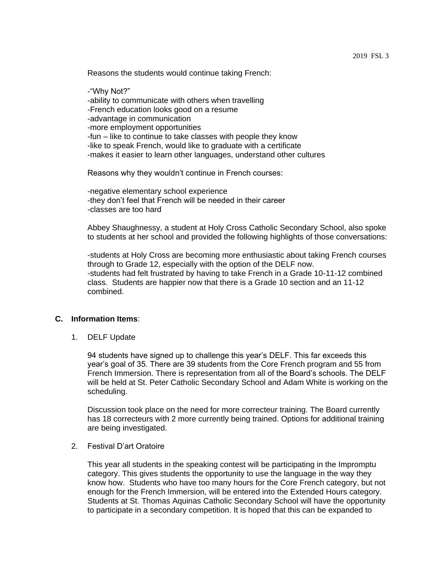Reasons the students would continue taking French:

-"Why Not?" -ability to communicate with others when travelling -French education looks good on a resume -advantage in communication -more employment opportunities -fun – like to continue to take classes with people they know -like to speak French, would like to graduate with a certificate -makes it easier to learn other languages, understand other cultures

Reasons why they wouldn't continue in French courses:

-negative elementary school experience -they don't feel that French will be needed in their career -classes are too hard

Abbey Shaughnessy, a student at Holy Cross Catholic Secondary School, also spoke to students at her school and provided the following highlights of those conversations:

-students at Holy Cross are becoming more enthusiastic about taking French courses through to Grade 12, especially with the option of the DELF now. -students had felt frustrated by having to take French in a Grade 10-11-12 combined class. Students are happier now that there is a Grade 10 section and an 11-12 combined.

### **C. Information Items**:

1. DELF Update

94 students have signed up to challenge this year's DELF. This far exceeds this year's goal of 35. There are 39 students from the Core French program and 55 from French Immersion. There is representation from all of the Board's schools. The DELF will be held at St. Peter Catholic Secondary School and Adam White is working on the scheduling.

Discussion took place on the need for more correcteur training. The Board currently has 18 correcteurs with 2 more currently being trained. Options for additional training are being investigated.

#### 2. Festival D'art Oratoire

This year all students in the speaking contest will be participating in the Impromptu category. This gives students the opportunity to use the language in the way they know how. Students who have too many hours for the Core French category, but not enough for the French Immersion, will be entered into the Extended Hours category. Students at St. Thomas Aquinas Catholic Secondary School will have the opportunity to participate in a secondary competition. It is hoped that this can be expanded to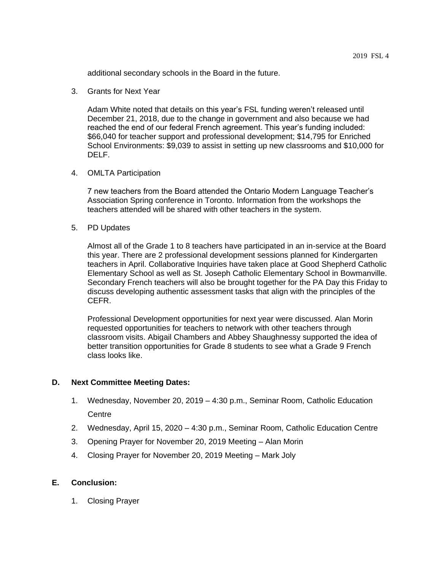additional secondary schools in the Board in the future.

3. Grants for Next Year

Adam White noted that details on this year's FSL funding weren't released until December 21, 2018, due to the change in government and also because we had reached the end of our federal French agreement. This year's funding included: \$66,040 for teacher support and professional development; \$14,795 for Enriched School Environments: \$9,039 to assist in setting up new classrooms and \$10,000 for DELF.

4. OMLTA Participation

7 new teachers from the Board attended the Ontario Modern Language Teacher's Association Spring conference in Toronto. Information from the workshops the teachers attended will be shared with other teachers in the system.

5. PD Updates

Almost all of the Grade 1 to 8 teachers have participated in an in-service at the Board this year. There are 2 professional development sessions planned for Kindergarten teachers in April. Collaborative Inquiries have taken place at Good Shepherd Catholic Elementary School as well as St. Joseph Catholic Elementary School in Bowmanville. Secondary French teachers will also be brought together for the PA Day this Friday to discuss developing authentic assessment tasks that align with the principles of the CEFR.

Professional Development opportunities for next year were discussed. Alan Morin requested opportunities for teachers to network with other teachers through classroom visits. Abigail Chambers and Abbey Shaughnessy supported the idea of better transition opportunities for Grade 8 students to see what a Grade 9 French class looks like.

### **D. Next Committee Meeting Dates:**

- 1. Wednesday, November 20, 2019 4:30 p.m., Seminar Room, Catholic Education **Centre**
- 2. Wednesday, April 15, 2020 4:30 p.m., Seminar Room, Catholic Education Centre
- 3. Opening Prayer for November 20, 2019 Meeting Alan Morin
- 4. Closing Prayer for November 20, 2019 Meeting Mark Joly

### **E. Conclusion:**

1. Closing Prayer